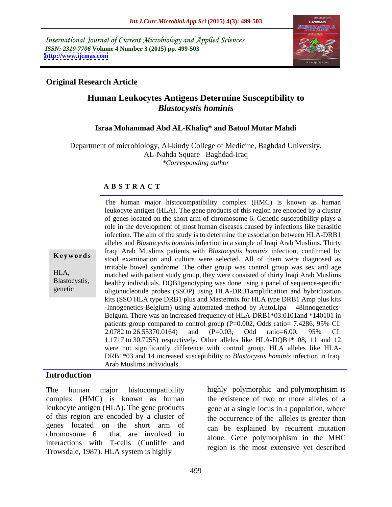International Journal of Current Microbiology and Applied Sciences *ISSN: 2319-7706* **Volume 4 Number 3 (2015) pp. 499-503 <http://www.ijcmas.com>**



# **Original Research Article**

# **Human Leukocytes Antigens Determine Susceptibility to** *Blastocystis hominis*

### **Israa Mohammad Abd AL-Khaliq\* and Batool Mutar Mahdi**

Department of microbiology, Al-kindy College of Medicine, Baghdad University, AL-Nahda Square - Baghdad-Iraq *\*Corresponding author*

### **A B S T R A C T**

genetic

leukocyte antigen (HLA). The gene products of this region are encoded by a cluster of genes located on the short arm of chromosome 6. Genetic susceptibility plays a role in the development of most human diseases caused by infections like parasitic infection. The aim of the study is to determine the association between HLA-DRB1 alleles and *Blastocystis hominis* infection in a sample of Iraqi Arab Muslims. Thirty Iraqi Arab Muslims patients with *Blastocystis hominis* infection, confirmed by stool examination and culture were selected. All of them were diagnosed as **Ke ywo rds** irritable bowel syndrome .The other group was control group was sex and age matched with patient study group, they were consisted of thirty Iraqi Arab Muslims HLA, Blastocystis, healthy individuals. DQB1genotyping was done using a panel of sequence-specific oligonucleotide probes (SSOP) using HLA-DRB1amplification and hybridization kits (SSO HLA type DRB1 plus and Mastermix for HLA type DRB1 Amp plus kits -Innogenetics-Belgium) using automated method by AutoLipa – 48Innogenetics-Belgum. There was an increased frequency of HLA-DRB1\*03:0101and \*140101 in patients group compared to control group (P=0.002, Odds ratio= 7.4286, 95% CI: 2.0782 to 26.55370.0164) and (P=0.03, Odd ratio=6.00, 95% CI: 1.1717 to 30.7255) respectively. Other alleles like HLA-DQB1\* 08, 11 and 12 were not significantly difference with control group. HLA alleles like HLA- DRB1\*03 and 14 increased susceptibility to *Blastocystis hominis* infection in Iraqi Arab Muslims individuals.

The human major histocompatibility complex (HMC) is known as human

## **Introduction**

The human major histocompatibility highly polymorphic and polymorphisim is complex (HMC) is known as human the existence of two or more alleles of a leukocyte antigen (HLA). The gene products gene at a single locus in a population, where of this region are encoded by a cluster of genes located on the short arm of chromosome 6 that are involved in along Gone polymorphism in the MHC interactions with T-cells (Cunliffe and Trowsdale, 1987). HLA system is highly

the occurrence of the alleles is greater than can be explained by recurrent mutation alone. Gene polymorphism in the MHC region is the most extensive yet described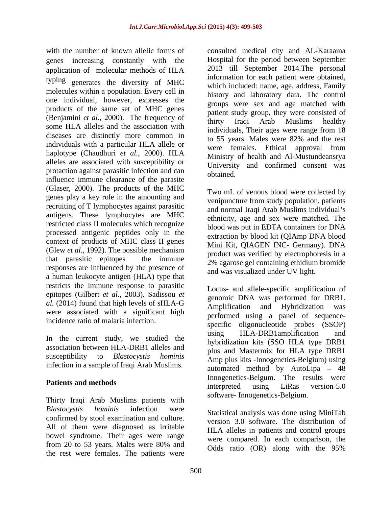genes increasing constantly with the application of molecular methods of HLA typing generates the diversity of MHC molecules within a population. Every cell in one individual, however, expresses the products of the same set of MHC genes (Benjamini *et al.,* 2000). The frequency of some HLA alleles and the association with diseases are distinctly more common in individuals with a particular HLA allele or haplotype (Chaudhuri *et al.,* 2000). HLA alleles are associated with susceptibility or protaction against parasitic infection and can influence immune clearance of the parasite (Glaser, 2000). The products of the MHC genes play a key role in the amounting and recruiting of T lymphocytes against parasitic antigens. These lymphocytes are MHC restricted class II molecules which recognize processed antigenic peptides only in the context of products of MHC class II genes (Glew *et al.,* 1992). The possible mechanism that parasitic epitopes the immune  $\frac{2\%}{2\%}$  agarose gel containing ethidium bromide responses are influenced by the presence of a human leukocyte antigen (HLA) type that restricts the immune response to parasitic epitopes (Gilbert *et al.*, 2003). Sadissou *et al.* (2014) found that high levels of sHLA-G<br>Amplification and Hybridization was were associated with a significant high

association between HLA-DRB1 alleles and infection in a sample of Iraqi Arab Muslims.

Thirty Iraqi Arab Muslims patients with *Blastocystis hominis* infection were Statistical analysis was done using MiniTab confirmed by stool examination and culture. All of them were diagnosed as irritable bowel syndrome. Their ages were range<br>from 20 to 53 years. Males were 80% and from 20 to 53 years. Males were  $80\%$  and  $\overrightarrow{O_{\text{dds}}}$  ratio  $\overrightarrow{OP}$  along with the  $95\%$ the rest were females. The patients were

with the number of known allelic forms of consulted medical city and AL-Karaama Hospital for the period between September 2013 till September 2014.The personal information for each patient were obtained, which included: name, age, address, Family history and laboratory data. The control groups were sex and age matched with patient study group, they were consisted of thirty Iraqi Arab Muslims healthy individuals, Their ages were range from 18 to 55 years. Males were 82% and the rest were females. Ethical approval from Ministry of health and Al-Mustundeansrya University and confirmed consent was obtained.

> Two mL of venous blood were collected by venipuncture from study population, patients and normal Iraqi Arab Muslims individual's ethnicity, age and sex were matched. The blood was put in EDTA containers for DNA extraction by blood kit (QIAmp DNA blood Mini Kit, QIAGEN INC- Germany). DNA product was verified by electrophoresis in a and was visualized under UV light.

incidence ratio of malaria infection.<br>
specific oligonucleotide probes (SSOP) In the current study, we studied the using HLA-DRB1amplification and Intervalse the current study, we studied the studies in the CSO III A time DDB1. susceptibility to *Blastocystis hominis* Amp plus kits -Innogenetics-Belgium) using Patients and methods **Example 1989 Patients and methods Patients and methods Patients Patients Patients Patients Patients Patients Patients Patients Patients Patients Patients Patients Patient** Locus- and allele-specific amplification of genomic DNA was performed for DRB1. Amplification and Hybridization performed using a panel of sequence using HLA-DRB1amplification and hybridization kits (SSO HLA type DRB1 plus and Mastermix for HLA type DRB1 automated method by AutoLipa  $-48$ Innogenetics-Belgum. The results were interpreted using LiRas version-5.0 software- Innogenetics-Belgium.

> version 3.0 software. The distribution of HLA alleles in patients and control groups were compared. In each comparison, the Odds ratio (OR) along with the 95%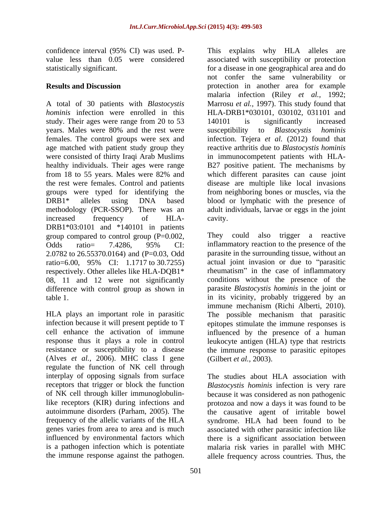study. Their ages were range from 20 to 53 140101 is significantly increased years. Males were 80% and the rest were susceptibility to *Blastocystis hominis* were consisted of thirty Iraqi Arab Muslims healthy individuals. Their ages were range increased frequency of HLA- DRB1\*03:0101 and \*140101 in patients group compared to control group (P=0.002, Odds ratio= 7.4286, 95% CI: inflammatory reaction to the presence of the 2.0782 to 26.55370.0164) and (P=0.03, Odd ratio=6.00, 95% CI: 1.1717 to 30.7255) respectively. Other alleles like HLA-DQB1<sup>\*</sup> rheumatism" in the case of inflammatory 08, 11 and 12 were not significantly difference with control group as shown in

(Alves *et al.,* 2006). MHC class I gene regulate the function of NK cell through interplay of opposing signals from surface

confidence interval (95% CI) was used. P- This explains why HLA alleles are value less than 0.05 were considered associated with susceptibility or protection statistically significant. for a disease in one geographical area and do **Results and Discussion** protection in another area for example A total of 30 patients with *Blastocystis*  Marrosu *et al.,* 1997). This study found that *hominis* infection were enrolled in this HLA-DRB1\*030101, 030102, 031101 and females. The control groups were sex and infection. Tejera *et al.* (2012) found that age matched with patient study group they reactive arthritis due to *Blastocystis hominis* from 18 to 55 years. Males were 82% and the rest were females. Control and patients disease are multiple like local invasions groups were typed for identifying the from neighboring bones or muscles, via the DRB1\* alleles using DNA based blood or lymphatic with the presence of methodology (PCR-SSOP). There was an adult individuals, larvae or eggs in the joint not confer the same vulnerability or malaria infection (Riley *et al.,* 1992; 140101 is significantly increased susceptibility to *Blastocystis hominis* in immunocompetent patients with HLA- B27 positive patient. The mechanisms by which different parasites can cause joint cavity.

table 1. in its vicinity, probably triggered by an HLA plays an important role in parasitic The possible mechanism that parasitic infection because it will present peptide to T epitopes stimulate the immune responses is cell enhance the activation of immune influenced by the presence of a human response thus it plays a role in control leukocyte antigen (HLA) type that restricts resistance or susceptibility to a disease the immune response to parasitic epitopes They could also trigger a reactive inflammatory reaction to the presence of the parasite in the surrounding tissue, without an actual joint invasion or due to "parasitic conditions without the presence of the parasite *Blastocystis hominis* in the joint or immune mechanism (Richi Alberti, 2010). (Gilbert *et al.,* 2003).

receptors that trigger or block the function *Blastocystis hominis* infection is very rare of NK cell through killer immunoglobulin-because it was considered as non pathogenic like receptors (KIR) during infections and protozoa and now a days it was found to be autoimmune disorders (Parham, 2005). The the causative agent of irritable bowel frequency of the allelic variants of the HLA syndrome. HLA had been found to be genes varies from area to area and is much associated with other parasitic infection like influenced by environmental factors which there is a significant association between is a pathogen infection which is potentiate malaria risk varies in parallel with MHC the immune response against the pathogen. allele frequency across countries. Thus, theThe studies about HLA association with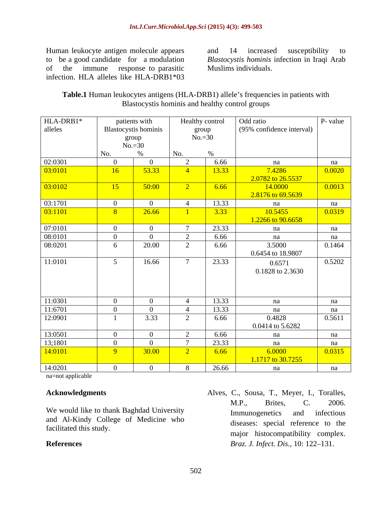infection. HLA alleles like HLA-DRB1\*03

Human leukocyte antigen molecule appears and 14 increased susceptibility to to be a good candidate for a modulation *Blastocystis hominis* infection in Iraqi Arab<br>of the immune response to parasitic Muslims individuals. and 14 increased susceptibility to *Blastocystis hominis* infection in Iraqi Arab Muslims individuals.

| Table.1 Human<br>$\triangle$ -DRB1<br>antigens (HI<br>l) allele's frequencies in patients with<br>. leukocytes : |  |
|------------------------------------------------------------------------------------------------------------------|--|
| Blastocystis hominis and healthy control groups                                                                  |  |

| $\boxed{\text{HLA-DRB1*}}$ alleles |                 | patients with<br>Blastocystis hominis<br>group |                | Healthy control<br>Odd ratio<br>(95% confidence interval)<br>group |                             | $No.=30$            |  | P- value |
|------------------------------------|-----------------|------------------------------------------------|----------------|--------------------------------------------------------------------|-----------------------------|---------------------|--|----------|
|                                    | No.             | $No.=30$                                       | No.            |                                                                    |                             |                     |  |          |
| 02:0301                            | $\overline{0}$  | $\overline{0}$                                 |                | 6.66                                                               | na                          | na                  |  |          |
| 03:0101                            | 16              | 53.33                                          |                | 13.33                                                              | 7.4286                      | 0.0020              |  |          |
|                                    |                 |                                                |                |                                                                    | 2.0782 to 26.5537           |                     |  |          |
| 03:0102                            | 15              | 50:00                                          | $\gamma$       | 6.66                                                               | 14.0000                     | 0.0013              |  |          |
|                                    |                 |                                                |                |                                                                    | 2.8176 to 69.5639           |                     |  |          |
| 03:1701                            | $\overline{0}$  | $\overline{0}$                                 |                | 13.33                                                              | na                          | $\frac{na}{0.0319}$ |  |          |
| $\boxed{03:1101}$                  | $\sim 8$        | 26.66                                          |                | $3.33$                                                             | 10.5455                     |                     |  |          |
|                                    |                 |                                                |                |                                                                    | 1.2266 to 90.6658           |                     |  |          |
| 07:0101                            | $\overline{0}$  | $\overline{0}$                                 |                | 23.33                                                              | na                          | na                  |  |          |
| 08:0101                            | $\overline{0}$  | $\overline{0}$                                 |                | 6.66                                                               | na                          | na                  |  |          |
| 08:0201                            | 6               | 20.00                                          | $\bigcap$      | 6.66                                                               | 3.5000                      | 0.1464              |  |          |
| 11:0101                            |                 | 16.66                                          |                | 23.33                                                              | 0.6454 to 18.9807           | 0.5202              |  |          |
|                                    | $5\overline{)}$ |                                                |                |                                                                    | 0.6571                      |                     |  |          |
|                                    |                 |                                                |                |                                                                    | 0.1828 to 2.3630            |                     |  |          |
|                                    |                 |                                                |                |                                                                    |                             |                     |  |          |
|                                    |                 |                                                |                |                                                                    |                             |                     |  |          |
| 11:0301                            | $\overline{0}$  | $\overline{0}$                                 | $\leftarrow$   | 13.33                                                              | na                          | na                  |  |          |
| 11:6701                            | $\overline{0}$  | $\overline{0}$                                 |                | 13.33                                                              | na                          | na                  |  |          |
| 12:0901                            |                 | 3.33                                           |                | 6.66                                                               | 0.4828                      | 0.5611              |  |          |
|                                    |                 |                                                |                |                                                                    | 0.0414 to 5.6282            |                     |  |          |
| 13:0501                            | $\overline{0}$  | $\overline{0}$                                 |                | 6.66                                                               | na                          | na                  |  |          |
| 13;1801                            | $\overline{0}$  | $\overline{0}$                                 |                | 23.33                                                              | na                          | na                  |  |          |
| 14:0101                            | $\overline{9}$  | 30.00                                          | $\sqrt{2}$     | 6.66                                                               | 6.0000<br>1.1717 to 30.7255 | $\boxed{0.0315}$    |  |          |
| 14:0201                            | $\overline{0}$  | $\overline{0}$                                 | 8 <sup>2</sup> | 26.66                                                              | na                          | na                  |  |          |
|                                    |                 |                                                |                |                                                                    |                             |                     |  |          |

na=not applicable

We would like to thank Baghdad University<br>
Immunogenetics and infectious and Al-Kindy College of Medicine who facilitated this study.

**Acknowledgments** Alves, C., Sousa, T., Meyer, I., Toralles, **References** *Braz. J. Infect. Dis.,* 10: 122–131. M.P., Brites, C. 2006. Immunogenetics and infectious diseases: special reference to the major histocompatibility complex.